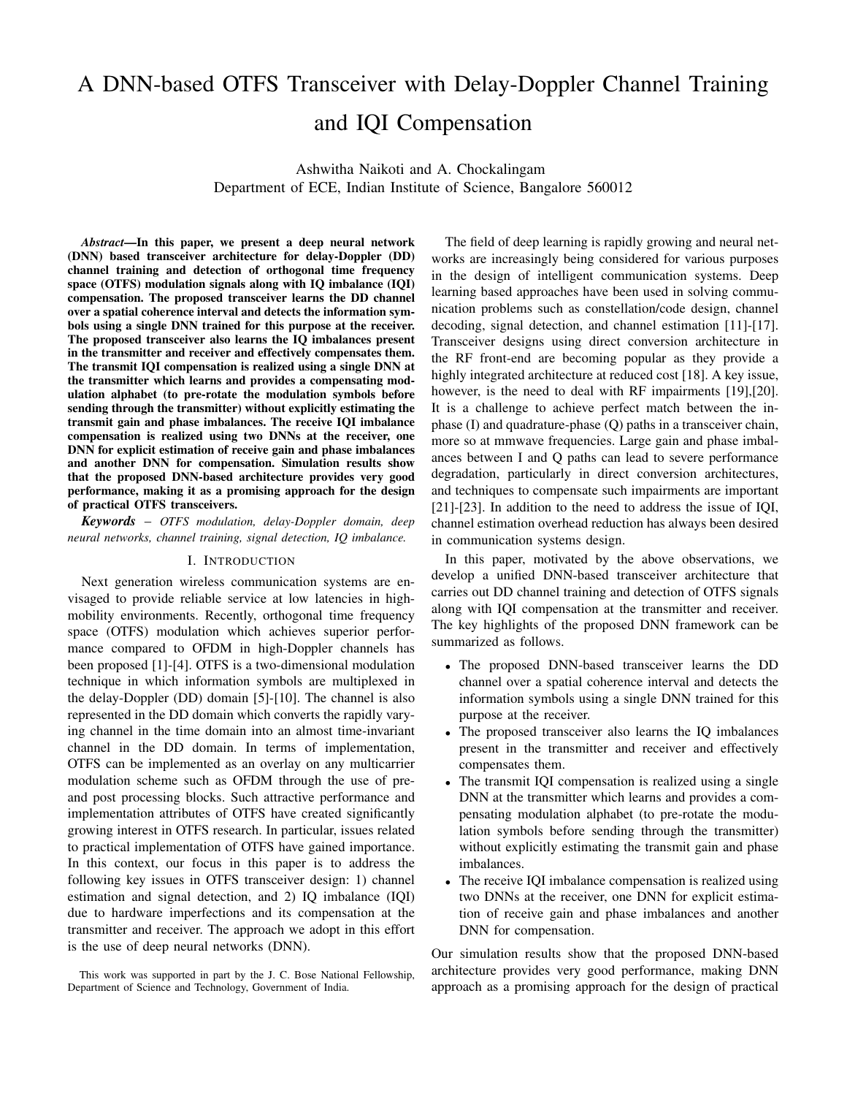# A DNN-based OTFS Transceiver with Delay-Doppler Channel Training and IQI Compensation

Ashwitha Naikoti and A. Chockalingam Department of ECE, Indian Institute of Science, Bangalore 560012

*Abstract*—In this paper, we present a deep neural network (DNN) based transceiver architecture for delay-Doppler (DD) channel training and detection of orthogonal time frequency space (OTFS) modulation signals along with IQ imbalance (IQI) compensation. The proposed transceiver learns the DD channel over a spatial coherence interval and detects the information symbols using a single DNN trained for this purpose at the receiver. The proposed transceiver also learns the IQ imbalances present in the transmitter and receiver and effectively compensates them. The transmit IQI compensation is realized using a single DNN at the transmitter which learns and provides a compensating modulation alphabet (to pre-rotate the modulation symbols before sending through the transmitter) without explicitly estimating the transmit gain and phase imbalances. The receive IQI imbalance compensation is realized using two DNNs at the receiver, one DNN for explicit estimation of receive gain and phase imbalances and another DNN for compensation. Simulation results show that the proposed DNN-based architecture provides very good performance, making it as a promising approach for the design of practical OTFS transceivers.

*Keywords* – *OTFS modulation, delay-Doppler domain, deep neural networks, channel training, signal detection, IQ imbalance.*

#### I. INTRODUCTION

Next generation wireless communication systems are envisaged to provide reliable service at low latencies in highmobility environments. Recently, orthogonal time frequency space (OTFS) modulation which achieves superior performance compared to OFDM in high-Doppler channels has been proposed [1]-[4]. OTFS is a two-dimensional modulation technique in which information symbols are multiplexed in the delay-Doppler (DD) domain [5]-[10]. The channel is also represented in the DD domain which converts the rapidly varying channel in the time domain into an almost time-invariant channel in the DD domain. In terms of implementation, OTFS can be implemented as an overlay on any multicarrier modulation scheme such as OFDM through the use of preand post processing blocks. Such attractive performance and implementation attributes of OTFS have created significantly growing interest in OTFS research. In particular, issues related to practical implementation of OTFS have gained importance. In this context, our focus in this paper is to address the following key issues in OTFS transceiver design: 1) channel estimation and signal detection, and 2) IQ imbalance (IQI) due to hardware imperfections and its compensation at the transmitter and receiver. The approach we adopt in this effort is the use of deep neural networks (DNN).

This work was supported in part by the J. C. Bose National Fellowship, Department of Science and Technology, Government of India.

The field of deep learning is rapidly growing and neural networks are increasingly being considered for various purposes in the design of intelligent communication systems. Deep learning based approaches have been used in solving communication problems such as constellation/code design, channel decoding, signal detection, and channel estimation [11]-[17]. Transceiver designs using direct conversion architecture in the RF front-end are becoming popular as they provide a highly integrated architecture at reduced cost [18]. A key issue, however, is the need to deal with RF impairments [19],[20]. It is a challenge to achieve perfect match between the inphase (I) and quadrature-phase (Q) paths in a transceiver chain, more so at mmwave frequencies. Large gain and phase imbalances between I and Q paths can lead to severe performance degradation, particularly in direct conversion architectures, and techniques to compensate such impairments are important [21]-[23]. In addition to the need to address the issue of IQI, channel estimation overhead reduction has always been desired in communication systems design.

In this paper, motivated by the above observations, we develop a unified DNN-based transceiver architecture that carries out DD channel training and detection of OTFS signals along with IQI compensation at the transmitter and receiver. The key highlights of the proposed DNN framework can be summarized as follows.

- The proposed DNN-based transceiver learns the DD channel over a spatial coherence interval and detects the information symbols using a single DNN trained for this purpose at the receiver.
- The proposed transceiver also learns the IQ imbalances present in the transmitter and receiver and effectively compensates them.
- The transmit IQI compensation is realized using a single DNN at the transmitter which learns and provides a compensating modulation alphabet (to pre-rotate the modulation symbols before sending through the transmitter) without explicitly estimating the transmit gain and phase imbalances.
- The receive IQI imbalance compensation is realized using two DNNs at the receiver, one DNN for explicit estimation of receive gain and phase imbalances and another DNN for compensation.

Our simulation results show that the proposed DNN-based architecture provides very good performance, making DNN approach as a promising approach for the design of practical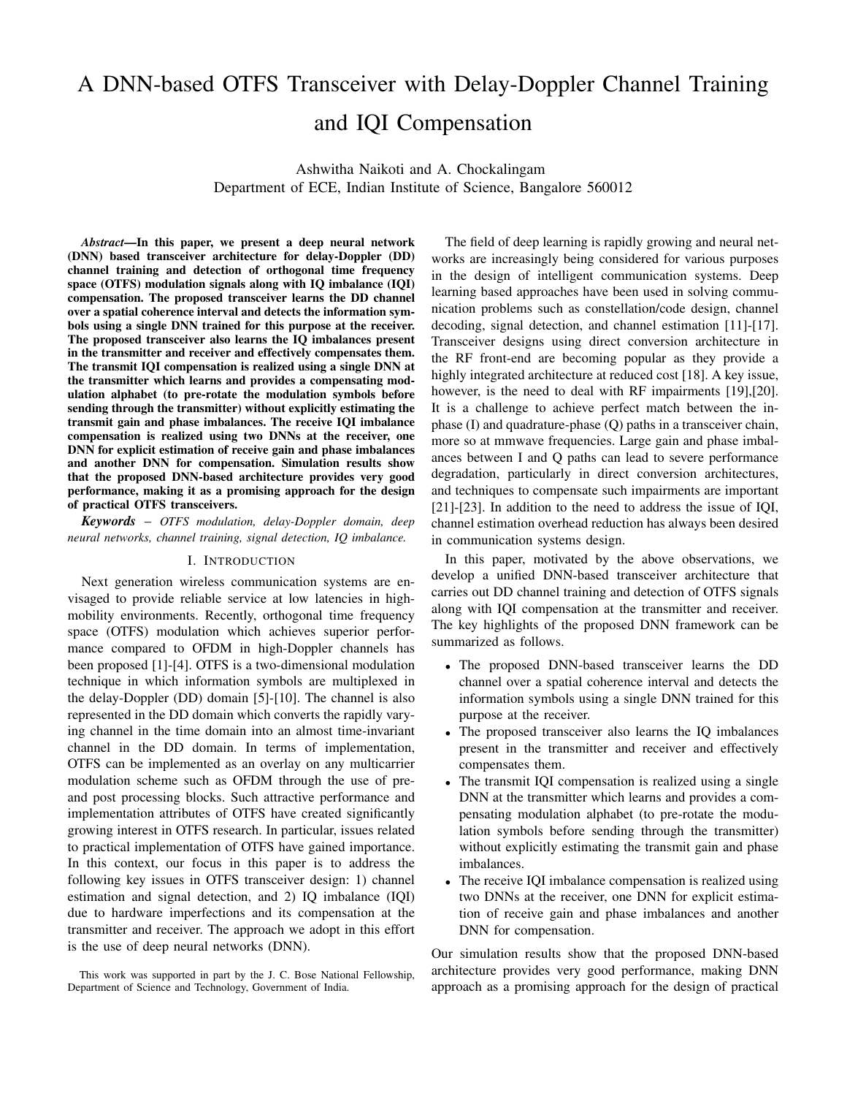

Fig. 1: OTFS modulation scheme.

OTFS transceivers. The rest of the paper is organized as follows. The considered OTFS system model in the presence of transmit and receive IQ imbalance is presented in Sec. II. The proposed DNN architectures are presented in Sec. III. Simulation results and discussions are presented in Sec. IV. Conclusions are presented in Sec. V.

## II. OTFS SYSTEM MODEL

In this section, we introduce the OTFS system model and the vectorized input-output relation in the presence of IQ imbalance at transmitter and receiver. The block diagram of OTFS modulation is shown in Fig. 1.

# *A. OTFS modulation*

The OTFS transmitter multiplexes NM information symbols from a modulation alphabet A, denoted by  $x[k, l], k =$ 0,  $N \t1, l = 0, \t M \t1$  on a  $N \t M$  DD grid. These symbols occupy a bandwidth of  $M$  f and are transmitted in a time duration of NT, where  $f = 1/T$ . The symbols in the DD domain are mapped to the time-frequency (TF) domain by inverse symplectic finite Fourier transform (ISFFT), as

$$
X[n,m] = \frac{1}{MN} \sum_{k=0}^{N-1} \sum_{l=0}^{M-1} x[k,l] e^{j2 \left(\frac{nk}{N} - \frac{ml}{M}\right)}.
$$
 (1)

The above TF domain signal is transformed into a time domain signal  $x(t)$  using Heisenberg transform, as

$$
x(t) = \sum_{n=0}^{N-1} \sum_{m=0}^{M-1} X[n, m] g_{tx}(t \quad n) e^{j2 \quad m \quad f(t - n)}, \quad (2)
$$

where  $g_{tx}(t)$  is the transmit pulse shape. The signal  $x(t)$  is transmitted through a channel having a DD domain response  $h(\tau, \nu)$ , where  $\tau$  and  $\nu$  denote delay and Doppler variables. The received time domain signal  $y(t)$  at the receiver is

$$
y(t) = \int \int h(\tau, \nu) x(t - \tau) e^{j2 - (t - \tau)} d\tau d\nu.
$$
 (3)

The received signal  $y(t)$  is transformed into a TF domain signal using Wigner transform, as

$$
Y[n,m] = A_{g_{rx}}(t,f)|_{t=nT,f=m} \quad f,\tag{4}
$$

$$
A_{g_{rx};y}(t,f)=\int g_{rx}^*(t'-t)y(t)e^{-j2-f(t'-t)}dt',
$$

where  $q_{rx}(t)$  is the receive pulse shape. If  $q_{rx}(t)$  and  $q_{tx}(t)$ satisfy the biorthogonality condition [2], the following equation gives the input-output relation in the TF domain

$$
Y[n,m] = H[n,m]X[n,m] + V[n,m],
$$
 (5)

where  $V[n, m]$  is noise in TF domain and  $H[n, m]$  is

$$
H[n,m] = \int \int h(\tau,\nu)e^{j2n\tau}e^{-j2(\tau+m-\tau)}d\nu d\tau. \quad (6)
$$

Applying symplectic finite Fourier transform (SFFT), the TF signal  $Y[n, m]$  is mapped to the DD domain signal  $y[k, l]$ , as

$$
y[k,l] = \sum_{n=0}^{N-1} \sum_{m=0}^{M-1} Y[n,m] e^{-j2 \left(\frac{nk}{N} - \frac{ml}{M}\right)}.
$$
 (7)

From (1)-(7), the input-output relation can be written as [2]

$$
y[k,l] = \frac{1}{MN} \sum_{l'=0}^{N-1} \sum_{k'=0}^{M-1} x[k',l'] h_W(\frac{k-k'}{NT}, \frac{l}{M} \frac{l'}{f}) + v[k,l],
$$
\n(8)

where  $h_w(\nu, \tau)$  is the circular convolution of the channel response with a windowing function  $w(\nu, \tau)$  and  $h_w(\frac{k-k'}{NT}, \frac{l-l'}{M})$  $\frac{1-r}{M-f}$ ) =  $h_w(\nu, \tau)j = \frac{k-k'}{NT}$ ;  $\frac{1-l'}{M\Delta f}$ . Now, consider a  $P$ -path DD channel with response

$$
h(\tau,\nu)=\sum_{i=1}^P h_i\delta(\tau-\tau_i)\delta(\nu-\nu_i),\qquad(9)
$$

where  $h_i, \tau_i$ , and  $\nu_i$  are the channel gain, delay, and Doppler shift corresponding to the ith path, respectively. We assume  $\tau_i \triangleq \frac{i}{M_f}$  and  $\nu_i \triangleq \frac{i}{N_f}$  where  $\alpha_i, \beta_i$  are integers. For rectangular transmit and receive windowing functions, the input-output relation in (8) can be obtained as [6]:

$$
y[k, l] = \sum_{i=1}^{P} h'_i x[(k - \beta_i)_N, (l - \alpha_i)_M] + v[k, l], \qquad (10)
$$

where  $h'_i = h_i e^{-j2}$  i i such that  $h_i$ s are i.i.d.  $CN(0, 1/P)$ . The above input-output relationship can be vectorized as [4]

$$
y = Hx + v, \tag{11}
$$

where  $x \nightharpoonup C^{MN \times 1}$  is the transmitted vector,  $y \nightharpoonup C^{MN \times 1}$ is the received vector,  $\mathbf{v} \nightharpoonup \mathbb{C}^{MN \times 1}$  is the noise vector, and  $H \supseteq C^{MN \times MN}$  is the DD domain effective channel matrix. The element  $x[k, l]$  in the DD grid is the  $(k + Nl)$ th element in x,  $k = 0$ , ,  $N = 1$ ,  $l = 0$ , ,  $M = 1$ .

## *B. OTFS system model with IQI*

The IQ imbalance in transceivers is modeled using two parameters, namely, gain imbalance  $(-G)$  and phase imbalance  $(\phi)$  between the I-arm and Q-arm.

*Transmitter IQI*: Consider a transmit RF chain which is impaired by IQI. Let  $G_T$  and  $\phi_T$  denote the gain and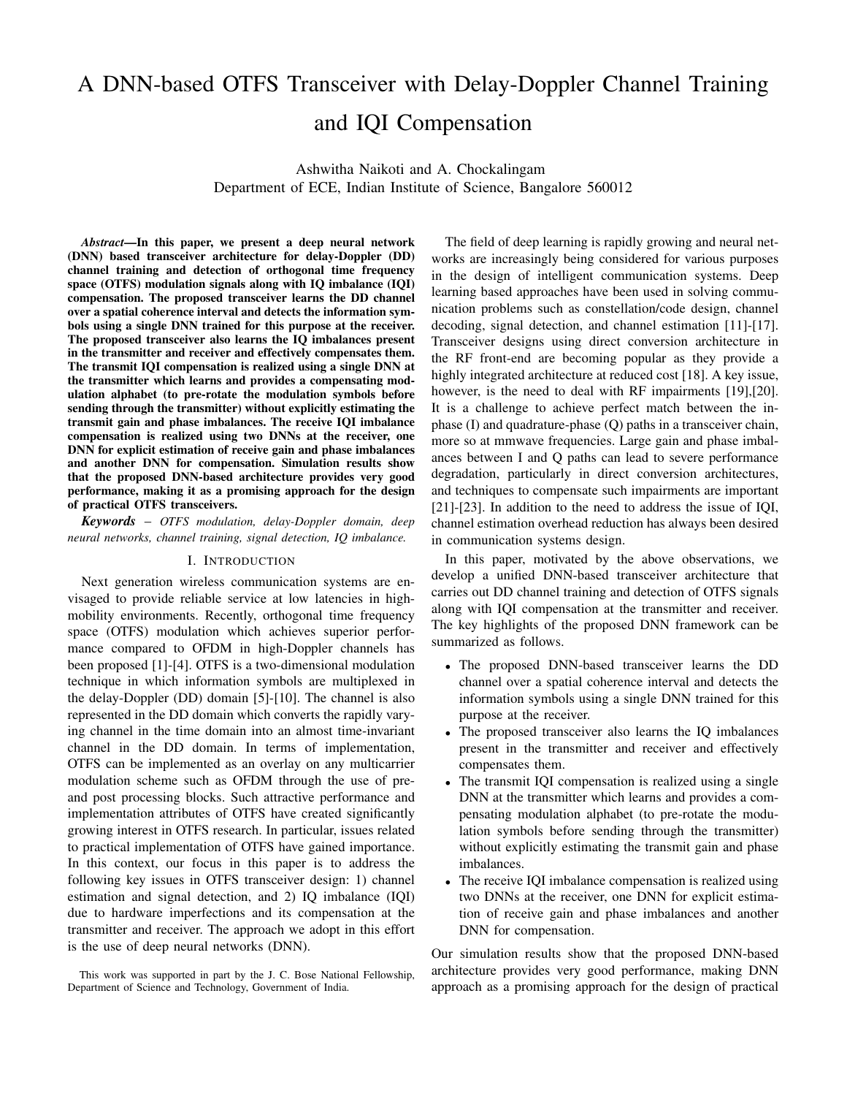

Fig. 2: Proposed DNN-based OTFS transceiver architecture.

phase imbalances, respectively, at the transmitter. The transmit vector with IQI can be written as [19],[20]

$$
\mathbf{x}_{I\,Q} = \alpha_T \mathbf{x} + \beta_T \mathbf{x}^*,\tag{12}
$$

where  $\alpha_T = \frac{1}{2} \left[ \cos(\frac{-T}{2}) + j \frac{G_T}{2} \sin(\frac{-T}{2}) \right], \ \beta_T =$  $\frac{1}{2} \left[ \frac{G_T}{2} \cos(\frac{\tau}{2}) \right]$  j sin( $\frac{\tau}{2}$ ), x is the ideal OTFS transmit vector (without Tx IQI) and  $x^*$ , its conjugate, is the image signal. The received vector, assuming an ideal RF chain at the receiver (without Rx IQI) is given by

$$
y = Hx_{IQ} + v. \tag{13}
$$

*Receiver IQI:* Now, consider that the receiver RF chain is also impaired by IQI. Let  $G_R$  and  $\phi_R$  denote the gain and phase imbalances, respectively, at the receiver. The received vector in the presence of receiver IQI can then be written as

$$
\mathbf{y}_{IO} = \alpha_R \mathbf{y} + \beta_R \mathbf{y}^*,\tag{14}
$$

where  $\alpha_R = \frac{1}{2} \left[ \cos(-\frac{R}{2}) + j \frac{G_R}{2} \sin(-\frac{R}{2}) \right], \ \beta_R =$  $\frac{1}{2} \left[ \frac{G_R}{2} \cos(\frac{R}{2}) \right]$  j sin( $\left( \frac{R}{2} \right)$ ), y is the received signal in the absence of receiver IQI and  $y^*$  is the image signal. It is noted that  $\alpha_R = 1$  and  $\beta_R = 0$  in the absence of Rx IQI. Likewise,  $\alpha_T = 1$  and  $\beta_T = 0$  in the absence of Tx IQI. In the presence of IQI, the image signal causes interference to the desired signal resulting in degraded performance.

## III. PROPOSED DNN-BASED OTFS TRANSCEIVER

In this section, we present the proposed DNN-based OTFS transceiver which performs the following tasks:  $i$ ) IQI compensation at the transmitter,  $ii)$  IOI compensation at the receiver, and *iii*) channel training and detection at the receiver. The proposed transceiver architecture is shown in Fig. 2.

## *A. Tx IQI compensation*

The Tx IQI compensation is carried out by DNN-1 in Fig. 2, which is a fully-connected DNN with  $2/\lambda$  input neurons and  $2/\lambda$  output neurons, where  $/\lambda$  is the size of the alphabet A. The alphabet  $\wedge$  is given as input to the Tx IQI model in (12) which generates the alphabet affected by Tx IQI (denoted by  $A_{iq}$ ). The DNN takes the real and imaginary parts of  $A_{iq}$  and training data as input and generates a compensating alphabet (denoted by  $A_{\text{comp}}$ ), which is fed to the transmit chain. The transmit chain maps  $\land$  to  $\land_{\text{comp}}$  and sends the symbols from  $A_{\text{comp}}$  through the chain. This ensures that the alphabet symbols at the transmitter output are pre-compensated and the effect of IQI is nullified. The data used for training the DNN is multiple realizations of  $(A'_{iq}, A'_{comp})$  pairs, where  $A'_{iq}$ s are generated using the Tx IQI model for different (  $G_T$ ,  $\phi_T$ ) values, and  $A'_{\text{comp}}$ s are obtained using the compensation model, given by

$$
\begin{bmatrix} A'_{\text{comp}} \\ A'^{*}_{\text{comp}} \end{bmatrix} = \begin{bmatrix} \alpha \tau & \beta \tau \\ \beta \tau & \alpha \tau \end{bmatrix}^{-1} \begin{bmatrix} A \\ A^* \end{bmatrix} . \tag{15}
$$

# *B. Rx IQI compensation*

At the receiver, Rx IQI compensation is done using two DNNs, namely, DNN-2 and DNN-3, as shown in Fig. 2. DNN-2 is a fully connected DNN with  $2/\lambda$  input neurons and 2 output neurons meant for estimating the gain and phase imbalances. DNN-3 is also a fully connected network with  $2MN$  input neurons and  $2MN$  output neurons meant for compensating the imbalances. In DNN-2, the Rx IQI impaired alphabet vector (denoted by  $s_{iq}$ ) is generated by using A (e.g., BPSK) in the IQI model in (14). It takes the real and imaginary parts of  $s_{iq}$  and training data as input and gives the estimated values of gain and phase imbalances (denoted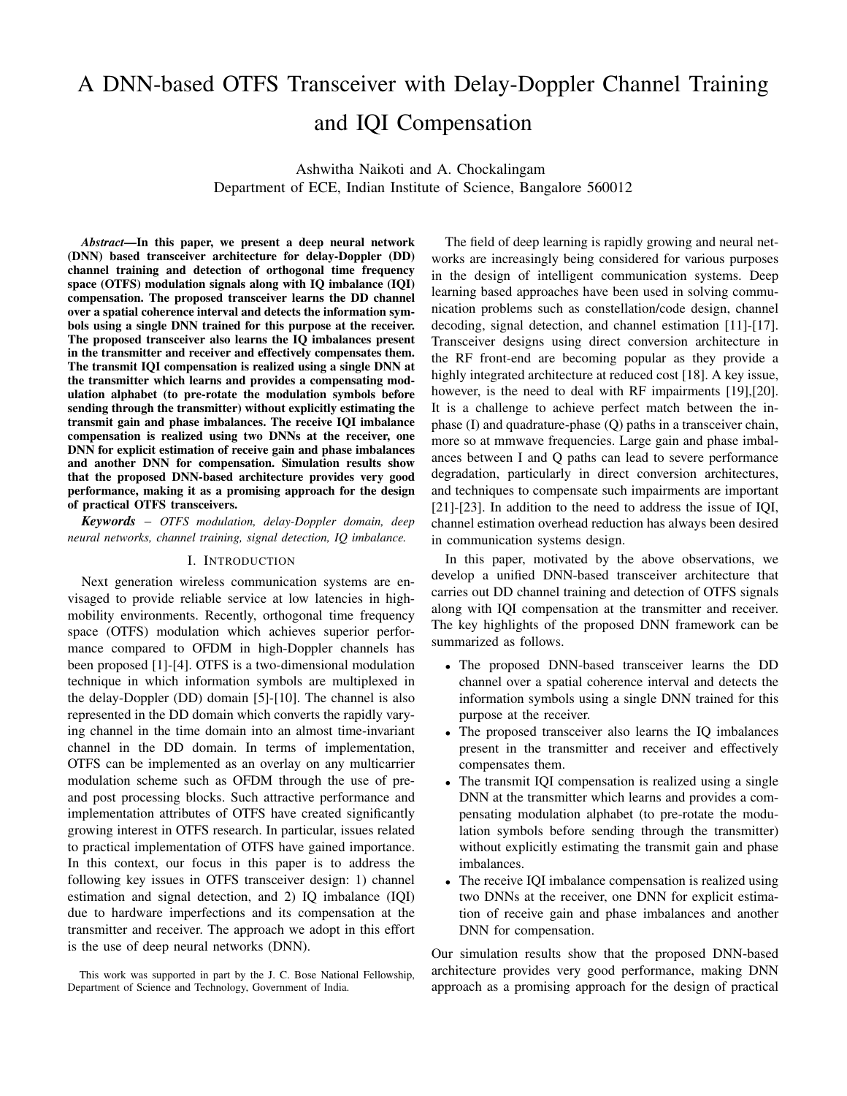by  $\hat{G}_R$  and  $\hat{\phi}_R$ , respectively) as the output. The data used for training DNN-2 is multiple realizations of  $(s'_{iq}, e'_{est})$ pairs, where  $\mathbf{e}'_{est} = \begin{bmatrix} G_{\mathcal{R}} & \phi_{\mathcal{R}} \end{bmatrix}$  and  $\mathbf{s}'_{ig}$  are obtained using different (  $G_R$ ,  $\phi_R$ ) values in (14). The estimated  $G_R$ and  $\phi_R$  obtained from DNN-2 are subsequently used for training DNN-3 meant for Rx IQI compensation. In DNN-3, the received signal vector y is given as input to the Rx IQI model in (14) which generates the received vector affected by IQI (denoted by  $y_{iq}$ ). It takes the real and imaginary parts of yiq and training data as input and generates a compensated received vector  $y_{\text{comp}}$ , which is expected to be same as the vector y received in the absence of Rx IQI. The Rx IQI compensated vector  $y_{\text{comp}}$  is subsequently used for signal detection in DNN-4. The training data for DNN-3 consists of multiple realizations of  $(\mathbf{y}'_{iq}, \mathbf{g}'_{est})$  pairs where  $\mathbf{g}'_{est} = [G_R; \phi_R]$  and  $y'_{iq}$ s are generated according to (14).

#### *C. Channel training and detection*

The task of channel training and detection is carried out by DNN-4 in Fig. 2, which is a fully-connected DNN with  $4MN$ input neurons and  $MN$  output neurons. The input to the DNN consists of two OTFS frames. The first frame is a pilot frame consisting of pilot symbol(s) and the second frame is a data frame consisting of information symbols. The DD channel is considered to be constant over these two frames. The pilot frame is assumed to consist of one pilot symbol at a fixed pilot location in the DD grid. At the receiver, these two frames are vectorized to form the input to the DNN as  $y = [y_p, y_d]$ , where  $y_p$  and  $y_d$  are the received vectors corresponding to the pilot frame and the data frame, respectively. The same pilot frame is used for all the data frames in a spatial coherence interval. The DNN takes the real and imaginary parts of the vector y as input and recovers the information bits in the data frame. The training data for the DNN consists of multiple realizations of  $(y', x')$  pairs, where  $x'$ s are pseudo-randomly generated transmit vectors, and  $y$ 's are obtained using  $(11)$  for different realizations of DD channel coefficients.

## IV. SIMULATION RESULTS

In this section, we first present the simulated bit error rate (BER) performance of OTFS in the presence of IQI and compare it with that of OFDM. We then illustrate the efficiency of the proposed IQI compensating DNN architectures in mitigating the effects of IQI at the transmitter and receiver. Next, we present the performance of channel training and detection DNN and compare it with those of ML detection and MMSE detection using impulse based channel estimation. Finally, we present the combined performance of all the four DNNs in the presence of both Tx and Rx IQI.

We consider the OTFS system parameters listed in Table I for all the simulations.

## *A. BER performance of OTFS and OFDM with IQI*

Here, the effect of Tx IQI (assuming ideal receiver) and Rx IQI (assuming ideal transmitter) on OTFS is analyzed. Figure 3 shows the BER performance comparison between OTFS and

| <b>Parameter</b>               | Value                                                                                         |
|--------------------------------|-----------------------------------------------------------------------------------------------|
| Frame size $(M; N)$            | (4:4)                                                                                         |
| Carrier frequency (GHz)        |                                                                                               |
| Subcarrier spacing (kHz)       | 3:75                                                                                          |
| No. of DD channel paths $(P)$  |                                                                                               |
| Delay-Doppler profile $(j, j)$ | $(0; \frac{1}{NT});(\frac{1}{M\Delta f}, \frac{1}{NT}),$                                      |
|                                | $\left(\frac{2}{M\Delta f},\frac{1}{NT}\right),\left(\frac{3}{M\Delta f},\frac{1}{NT}\right)$ |
| Delay power profile            | <b>Uniform</b>                                                                                |

# TABLE I: OTFS system parameters.

OFDM as a function of IQI parameters  $G$  and  $\phi$  at the transmitter and receiver. The gain imbalance  $G$  is varied by considering  $\phi = 0$ . Similarly,  $\phi$  is varied by fixing the value of  $G$  at 0. The signal-to-noise ratio (SNR) considered is 12 dB. It can be seen that BER performance of OTFS is better compared to OFDM in the presence of Tx IQI and Rx IQI. In case of OTFS, the BER is in the order of 10−<sup>3</sup> while it is in the order of  $10^{-2}$  in OFDM. OTFS is more resilient to IQI when  $G \ncong [0, 0.3]$  and  $\phi \ncong [0^\circ, 20^\circ]$ . Though OTFS becomes less sensitive to IQ imbalance for high values of gain and phase imbalances, its BER is still better than that of OFDM.

#### *B. Tx IQI compensation*

Here, we consider the Tx IQI compensation performance of DNN-1 assuming that the receiver RF chain is ideal. Table II shows the parameters used in DNN-1 for BPSK, 4- QAM, and 16-QAM. The DNN-1 for 4-QAM has five layers with one input layer, three hidden layers, and one output layer. The activation function used for hidden layers is Tanh activation. Linear activation function is used for the output layer so that the real-valued output is not confined between any range. Predicting a real-valued output is a regression problem and mean-squared error loss function is chosen because it is sensitive to large deviations and minimizes the average squared difference between the DNN output and the expected output. The DNN-1 architecture for 4-QAM is as follows.

*DNN-1 for 4-QAM: Input* ! *8* ! *Tanh* ! *64* ! *Tanh* ! *32* ! *Tanh* ! *16* ! *Tanh* ! *8* ! *Linear.*

In Fig. 4, we illustrate the effectiveness of the Tx IQI compensation achieved by DNN-1. It shows the ideal 4- QAM alphabet A, the Tx IQI impaired alphabet  $A_{iq}$ , the compensating alphabet  $A_{\text{comp}}$ , and the transmit alphabet  $A_{\text{tx}}$  for  $G_T = 0.4$  and  $\phi_T = 40^\circ$ . From Fig. 4, it can be seen that

the transmitted symbols after compensation are almost same as the corresponding symbols from the ideal alphabet A. This shows that the DNN-1 is effective in compensating the Tx IQI. This effectiveness translates into very good BER performance as shown in Fig. 5. Figure 5 shows three BER plots as a function of SNR for the following three cases: 1) ideal Tx with no IQI, 2) Tx with IQI and with no IQI compensation, and 3) Tx with IQI and with proposed IQI compensation. The symbols are detected using MMSE detection. It can be seen that, though Tx IQI significantly degrades the BER performance, the performance achieved by the proposed Tx IQI compensation using DNN-1 is almost the same as the ideal BER performance achieved in the absence of IQI.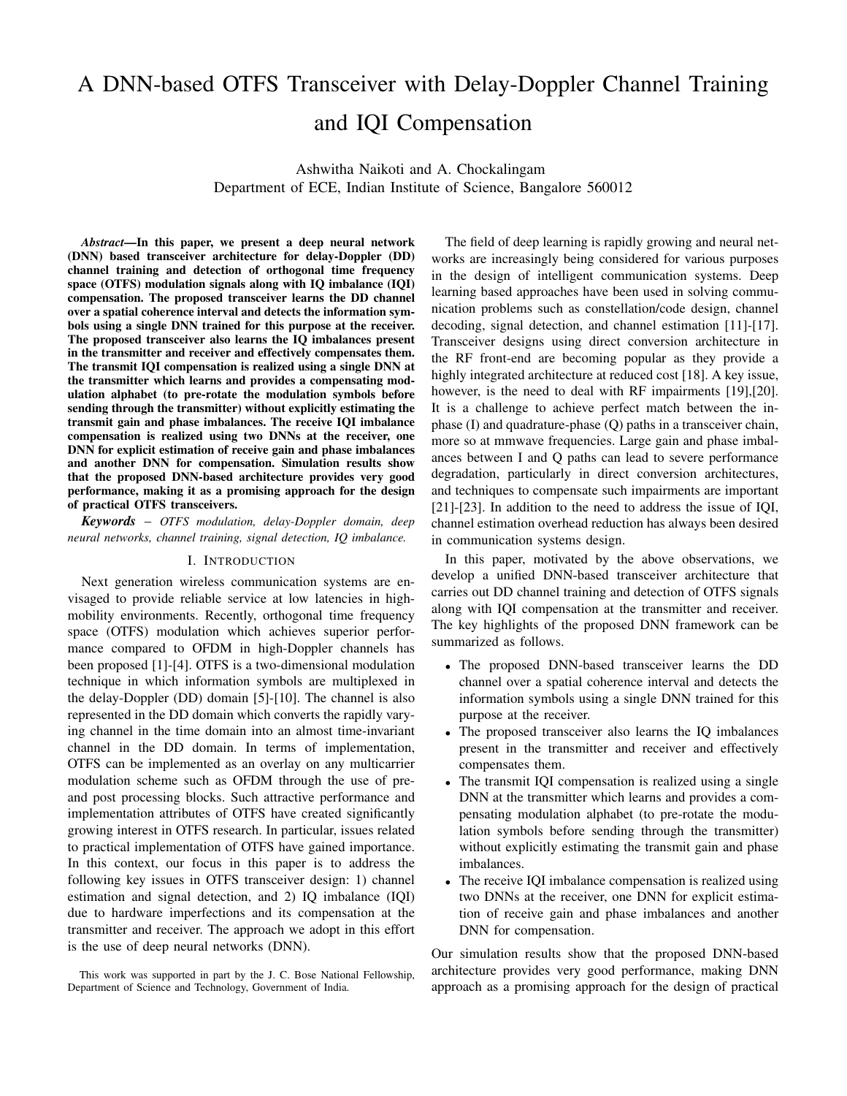

Fig. 3: Sensitivity of OTFS and OFDM to Tx and Rx IQI.

| Parameters               | <b>BPSK-DNN</b> | 40AM-DNN   | 160AM-DNN   |
|--------------------------|-----------------|------------|-------------|
| No. of input neurons     | $2jAj = 4$      | $2iAj = 8$ | $2iAi = 32$ |
| No. of output neurons    | $2jAj = 4$      | $2iAi = 8$ | $2jAj = 32$ |
| No. of hidden layers     |                 |            |             |
| Hidden layer activation  | Tanh            | Tanh       | Tanh        |
| Output layer activation  | Linear          | Linear     | Linear      |
| Optimization             | Adam            | Adam       | Adam        |
| Loss function            | <b>MSE</b>      | <b>MSE</b> | MSE         |
| No. of training examples | 1000            | 1000       | 1000        |
| No. of epochs            | 5000            | 5000       | 5000        |
| Batch size               |                 |            |             |

TABLE II: Parameters of Tx IQI compensation DNN-1.



Fig. 4: Illustration of ideal 4-QAM alphabet (A), Tx IQI impaired alphabet  $(A_{iq})$ , compensating alphabet  $(A_{comp})$ , and transmit alphabet  $(A_{tx})$  in DNN-1 for  $G = 0.4$ ,  $\phi = 40^\circ$ .



Fig. 5: BER performance of OTFS with Tx IQI compensation using DNN-1 for 4-QAM.

A similar restoration of BER performance is achieved by DNN-1 in the case of BPSK and 16-QAM as well, as can be seen in Fig. 6. ML and MMSE detection are used for BPSK and 16-QAM, respectively. The DNN architectures used for BPSK and 16-QAM are as follows.

*DNN-1 for BPSK: Input* ! *4* ! *Tanh* ! *64* ! *Tanh* ! *32* ! *Tanh* ! *16* ! *Tanh* ! *8* ! *Tanh* ! *4* ! *Linear. DNN-1 for 16-QAM: Input* ! *32* ! *Tanh* ! *256* ! *Tanh* ! *128* ! *Tanh* ! *64* ! *Tanh* ! *32* ! *Linear.*

From both Figs. 5 and 6, we observe that the proposed DNN-1 has effectively nullified the effect of Tx IQI and achieved near-ideal performance.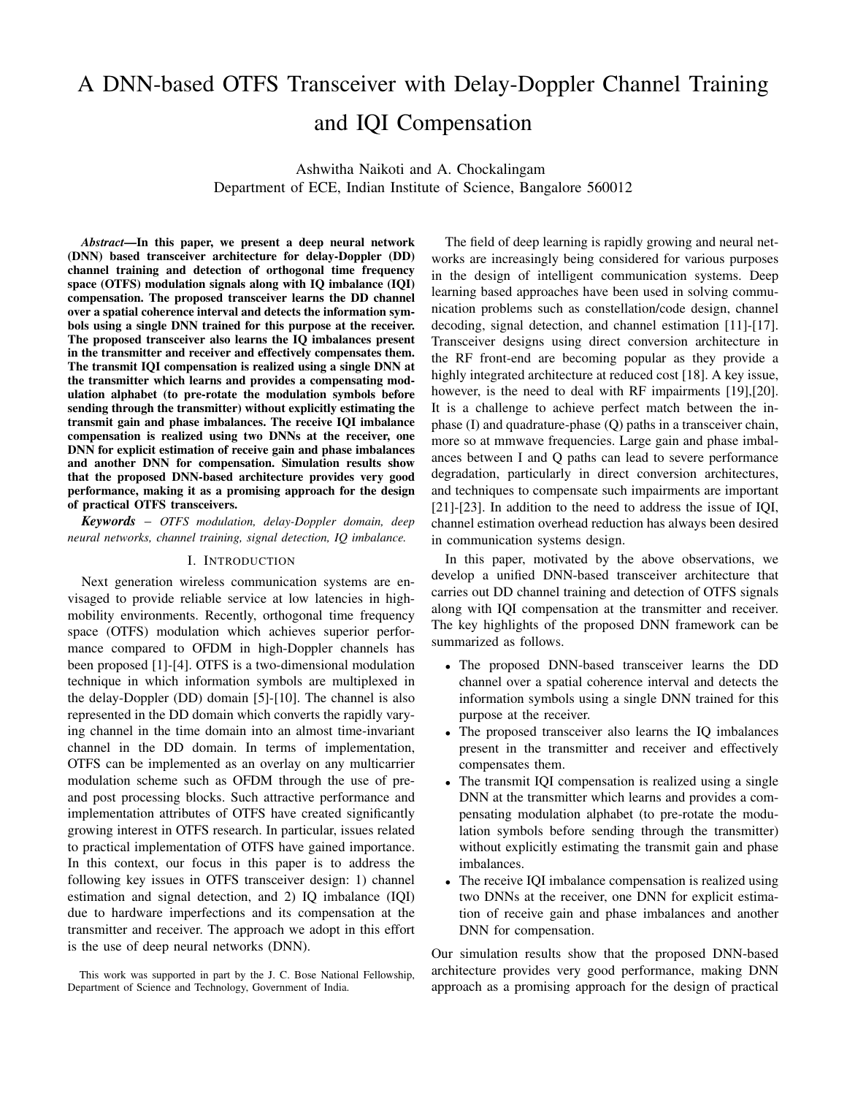

Fig. 6: BER performance of OTFS with Tx IQI compensation using DNN-1 for BPSK and 16-QAM.

## *C. Rx IQI compensation*

Here, we consider the performance of DNN-2 and DNN-3 for the estimation and compensation of Rx IQI in the absence of Tx IQI. First, the Rx IQI parameters,  $\hat{G}_R$  and  $\hat{\phi}_R$ , are estimated using DNN-2 using a test alphabet A as the input. The DNN-3 is trained separately for BPSK, 4-QAM, and 16-QAM alphabets. The IQ impaired received vector at the receiver is passed through DNN-3 and the output obtained is used for detection using conventional methods like ML detection and MMSE detection. Table III shows the parameters used in DNN-2 and DNN-3. The DNN-2 and DNN-3 architectures used are as follows.

*DNN-2: Input* ! *4* ! *Tanh* ! *8* ! *Tanh* ! *2* ! *Linear. DNN-3: Input* ! *32* ! *Tanh* ! *64* ! *Tanh* ! *32* ! *Linear.*

| Parameters               | $DNN-2$    | $DNN-3$    |
|--------------------------|------------|------------|
| No. of input neurons     | $2iAj = 4$ | $2MN = 32$ |
| No. of output neurons    | 2          | $2MN = 32$ |
| No. of hidden layers     |            |            |
| Hidden layer activation  | Tanh       | Tanh       |
| Output layer activation  | Linear     | Linear     |
| Optimization             | Adam       | Adam       |
| Loss function            | <b>MSE</b> | <b>MSE</b> |
| No. of training examples | 1000       | 50000      |
| No. of epochs            | 500        | 500        |
| Batch size               | 5          | 50         |

TABLE III: Parameters of Rx IQI DNN-2 and DNN-3.

Figures 7(a), (b), and (c) show the combined BER performance of DNN-2 and DNN-3 for BPSK, 4-QAM and 16- QAM, respectively. The values of gain and phase imbalances considered are  $G_R = 0.4$  and  $\phi_R = 40^\circ$ . In all the three cases, it can be seen that the performance achieved by the proposed DNN-2 and DNN-3 in the presence of Rx IQI is almost same as the BER performance of an ideal transceiver without IQI. This shows that the proposed Rx IQI DNNs are able to nullify the degrading effects caused by Rx IQI.

## *D. Channel training and detection*

Here, we demonstrate the performance of DNN-4 for channel training and detection in OTFS and compare it with the

| Parameters               | $DNN-4$        |
|--------------------------|----------------|
|                          |                |
| No. of input neurons     | $4MN = 64$     |
| No. of output neurons    | $MN = 16$      |
| No. of hidden layers     | $\mathfrak{D}$ |
| Hidden layer activation  | ReLU           |
| Output layer activation  | Sigmoid        |
| Training data SNR        | 10dB           |
| Training pilot SNR       | 10dB           |
| Optimization             | Adam           |
| <b>Loss function</b>     | <b>MSE</b>     |
| No. of training examples | 200000         |
| No. of epochs            | 500            |
| Batch size               | 500            |

TABLE IV: Parameters of channel training and detection DNN-4.

performance of conventional methods in terms of BER. An OTFS system with  $M = N = 4$  and BPSK is considered. The DNN-4 has four layers. The hidden layers use ReLU activation and the output layer uses Sigmoid activation. The output of the DNN has values in the interval [0,1] due to the Sigmoid activation at the output layer. The transmitted bits are recovered by thresholding the output at 0.5. Table IV shows the parameters used in DNN-4. The architecture used in DNN-4 is as follows.

*DNN-4: Input* ! *64* ! *ReLU* ! *256* ! *ReLU* ! *64* ! *ReLU* ! *16* ! *Sigmoid.*

Figure 8 shows the BER performance of DNN-4 as a function of pilot SNR  $(SNR_p)$ . The BER is computed at a data SNR ( $SNR_d$ ) of 10 dB. The DNN-4 is trained at  $SNR_p = 10$ dB and  $SNR_d = 10$  dB. The DNN-4 once trained can be used over a spatial coherence interval. The performance of DNN-4 is compared with the BER performance of ML detection and MMSE detection which use the channel estimated using impulse based channel estimation [9]. The BER with perfect channel knowledge is also shown for comparison. It can be seen that DNN-4 performs better than the other methods at pilot SNR lower than 20 dB. Beyond that, it performs worse than ML detection but performs slightly better than MMSE detection. Also, it can be noticed that the DNN trained at a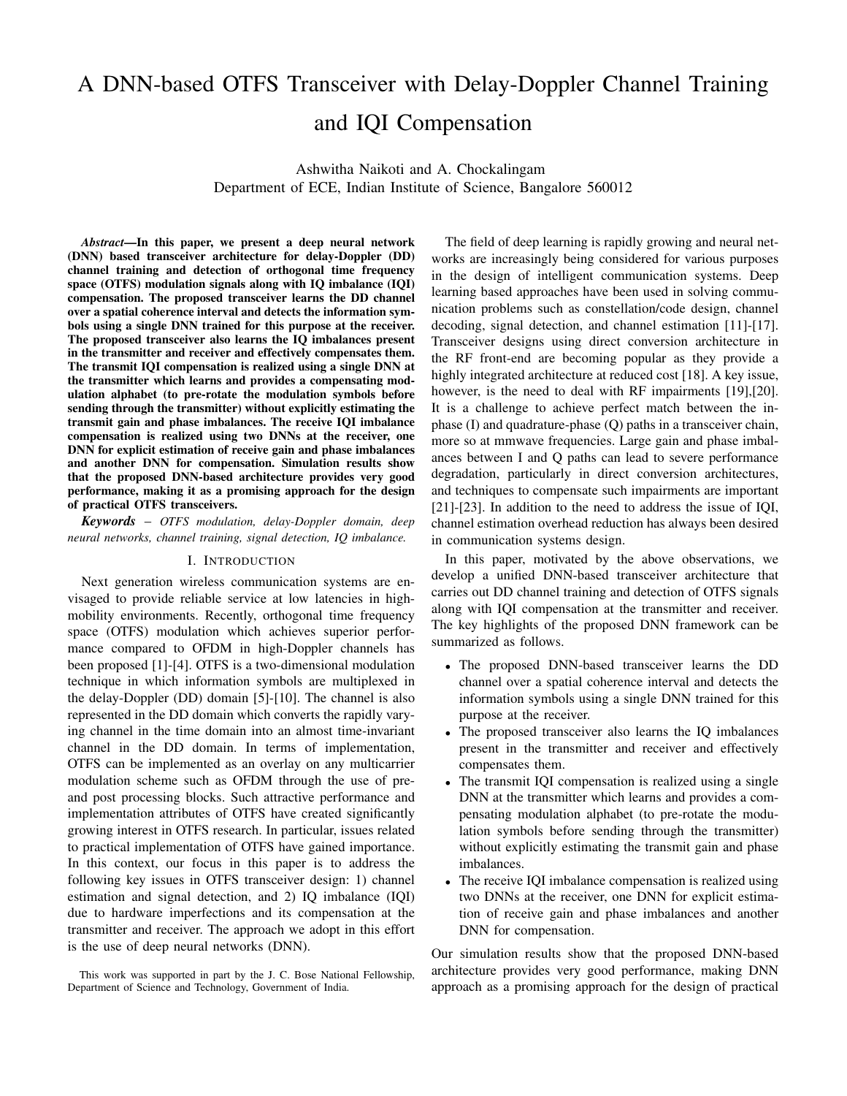

Fig. 7: BER performance of OTFS with Rx IQI estimation and compensation DNN-2 and DNN-3 for BPSK, 4-QAM, and 16-QAM.



Fig. 8: BER performance of DNN-4 as a function of pilot SNR.

particular pilot SNR performs well when tested at a different pilot SNR.

## *E. Combined performance all DNNs*

Finally, in Fig. 9 we show the BER performance of OTFS using the complete DNN-based transceiver architecture in Fig. 2 with Tx & Rx IQI compensation and DD channel training/detection. After IQI compensation using DNN-1, DNN-2, and DNN-3, BER is compared between  $i$ ) impulse based channel estimation and ML detection, ii) impulse based channel estimation and MMSE detection, and iii) DNN-based channel training and detection using DNN-4. The performance of ML detection with perfect channel knowledge is also shown. The comparison is done at  $SNR_p = 10$  dB, 20 dB, 30 dB. It can be seen that, when the pilot SNR is small, both ML detection and MMSE detection methods show degradation in the BER performance due to increased error in the impulse based estimation of the channel coefficients. The DNN based detection outperforms the other detection methods at  $SNR_p = 10$  dB and  $SNR_p = 20$  dB because of effective channel training. At  $SNR_p = 30$  dB, ML detection with impulse based estimation gives the best performance. Also, the performance of DNN-4 is comparable to that of MMSE detection with impulse based channel estimation.

## V. CONCLUSION

We proposed an integrated DNN-based OTFS architecture to carry out DD channel training, detection, and IQI compensation tasks in OTFS transceivers. The proposed transceiver used a single DNN at the receiver to learn the DD channel over a spatial coherence interval and also detect the information symbols in an OTFS frame. The proposed transceiver also learnt the IQ imbalances effectively and compensated them. The Tx IQI compensation DNN at the transmitter learnt and provided a compensating modulation alphabet to pre-rotate the modulation symbols before sending through the transmitter. The Rx IQI imbalance compensation was realized using two DNNs at the receiver, one DNN for explicit estimation of receive gain and phase imbalances and another DNN for compensation. Simulation results showed very good performance for the proposed DNN-based OTFS transceiver suggesting that the DNN-based approach is attractive for the design of practical transceivers.

#### **REFERENCES**

- [1] R. Hadani et al., "Orthogonal time frequency space modulation," in *Proc. IEEE WCNC'2017*, Mar. 2017, pp. 1-6.
- [2] R. Hadani et al., "Orthogonal time frequency space modulation," available online: arXiv:1808.00519v1 [cs.IT] 1 Aug 2008.
- [3] G. D. Surabhi, R. M. Augustine, and A. Chockalingam, "On the diversity of uncoded OTFS modulation in doubly-dispersive channels," *IEEE Trans. Wireless Commun.*, vol. 18, no. 6, pp. 3049-3063, Jun. 2019.
- [4] F. Wiffen, L. Sayer, M. Z. Bocus, A. Doufexi, and A. Nix, "Comparison of OTFS and OFDM in ray launched sub-6 GHz and mmWave line-ofsight mobility channels," in *Proc. IEEE PIMRC'2018*, Sep. 2018, pp. 73-79.
- [5] S. K. Mohammed, "Derivation of OTFS modulation from first principles," *IEEE Trans. Veh. Tech.*, early access in IEEE Xplore, DOI: 10.1109/TVT.2021.3069913, 31 Mar. 2021.
- [6] P. Raviteja, K. T. Phan, Y. Hong, and E. Viterbo, "Interference cancellation and iterative detection for orthogonal time frequency space modulation," *IEEE Trans. Wireless Commun.*, vol. 17, no. 10, pp. 6501- 6515, Oct. 2018.
- [7] K. R. Murali and A. Chockalingam, "On OTFS modulation for high-Doppler fading channels," in *Proc. ITA'2018*, Feb. 2018, pp. 1-10.